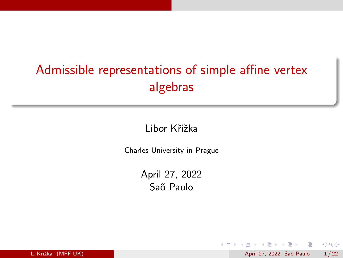# Admissible representations of simple affine vertex algebras

Libor Křižka

Charles University in Prague

April 27, 2022 Saõ Paulo

ほん マミト

4 **D** F

 $\Omega$ 

L. Křižka (MFF UK) April 27, 2022 Sa˜o Paulo 1 / 22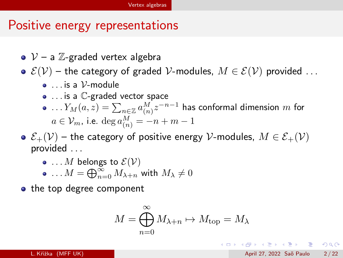# <span id="page-1-0"></span>Positive energy representations

- $\bullet \, \mathcal{V}$  a  $\mathbb{Z}$ -graded vertex algebra
- $\bullet \mathcal{E}(\mathcal{V})$  the category of graded V-modules,  $M \in \mathcal{E}(\mathcal{V})$  provided ...
	- $\bullet$  is a  $\mathcal V$ -module
	- ... is a C-graded vector space
	- $\ldots Y_M(a,z) = \sum_{n \in \mathbb{Z}} a^M_{(n)} z^{-n-1}$  has conformal dimension  $m$  for  $a\in\mathcal{V}_m$ , i.e.  $\deg a_{(n)}^M=-n+m-1$
- $\bullet \mathcal{E}_+(\mathcal{V})$  the category of positive energy V-modules,  $M \in \mathcal{E}_+(\mathcal{V})$ provided . . .
	- $\bullet$  ... M belongs to  $\mathcal{E}(\mathcal{V})$  $\ldots M = \bigoplus_{n=0}^{\infty} M_{\lambda+n}$  with  $M_{\lambda} \neq 0$
- the top degree component

$$
M = \bigoplus_{n=0}^{\infty} M_{\lambda+n} \mapsto M_{\text{top}} = M_{\lambda}
$$

K ロ ▶ K 個 ▶ K 결 ▶ K 결 ▶ - 결 - K 이익(여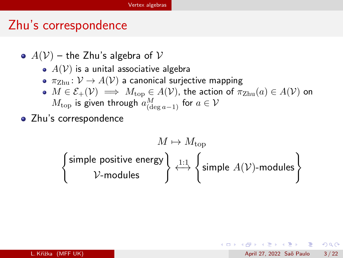### <span id="page-2-0"></span>Zhu's correspondence

- $A(V)$  the Zhu's algebra of V
	- $\bullet$   $A(V)$  is a unital associative algebra
	- $\pi_{\text{Zhu}}: V \to A(V)$  a canonical surjective mapping
	- $M \in \mathcal{E}_+(\mathcal{V}) \implies M_{\text{top}} \in A(\mathcal{V})$ , the action of  $\pi_{\text{Zhu}}(a) \in A(\mathcal{V})$  on  $M_{\rm top}$  is given through  $a_{({\rm deg\,}a-1)}^M$  for  $a\in\mathcal{V}$
- Zhu's correspondence

$$
\begin{Bmatrix}\nM \mapsto M_{\text{top}} \\
\downarrow \text{simple positive energy} \\
\downarrow \quad \downarrow \quad \text{simple } A(\mathcal{V})\text{-modules}\n\end{Bmatrix}
$$

 $\Omega$ 

イロン イ部ン イヨン イヨン 一番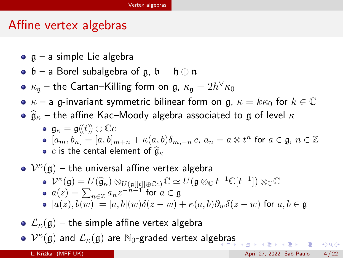### Affine vertex algebras

- $\circ$   $\alpha$  a simple Lie algebra
- $\mathfrak{b}$  a Borel subalgebra of g,  $\mathfrak{b} = \mathfrak{h} \oplus \mathfrak{n}$
- $\kappa_{\frak{g}}$  the Cartan–Killing form on  $\frak{g},\ \kappa_{\frak{g}}=2h^\vee\kappa_0$
- $\kappa$  a g-invariant symmetric bilinear form on g,  $\kappa = k\kappa_0$  for  $k \in \mathbb{C}$
- $\hat{\mathfrak{g}}_{\kappa}$  the affine Kac–Moody algebra associated to g of level  $\kappa$

$$
\mathfrak{g}_\kappa=\mathfrak{g}(\!(t)\!)\oplus\mathbb{C} c
$$

- $[a_m,b_n]=[a,b]_{m+n}+\kappa(a,b)\delta_{m,-n} c,\ a_n=a\otimes t^n$  for  $a\in\mathfrak{g},\ n\in\mathbb{Z}$
- c is the cental element of  $\widehat{\mathfrak{g}}_{\kappa}$

# $\mathcal{V}^{\kappa}(\mathfrak{g})$  – the universal affine vertex algebra  $\mathcal{V}^{\kappa}(\mathfrak{g}) = U(\widehat{\mathfrak{g}}_{\kappa}) \otimes_{U(\mathfrak{g}[[t]] \oplus \mathbb{C}c)} \mathbb{C} \simeq U(\mathfrak{g} \otimes_{\mathbb{C}} t^{-1} \mathbb{C}[t^{-1}]) \otimes_{\mathbb{C}} \mathbb{C}c$  $a(z)=\sum_{n\in\mathbb{Z}}a_{n}z^{-n-1}$  for  $a\in\mathfrak{g}$  $[a(z), b(w)] = [a, b](w)\delta(z - w) + \kappa(a, b)\partial_w\delta(z - w)$  for  $a, b \in \mathfrak{g}$

•  $\mathcal{L}_{\kappa}(\mathfrak{g})$  – the simple affine vertex algebra  $\mathcal{V}^{\kappa}(\mathfrak{g})$  and  $\mathcal{L}_{\kappa}(\mathfrak{g})$  are  $\mathbb{N}_0$ -graded vertex alge[br](#page-2-0)a[s](#page-4-0) 4 8 7 4 2 7 4 2 × 2 × 3 4 4 5 × 4 2 × 4 2 × 4 2 × 4 2 × 4 2 × 4 2 × 4 2 × 4 2 × 4 2 × 4 2 × 4 2 × 4 2 × 4 2 × 4 2 × 4 2 × 4 2 × 4 2 × 4 2 × 4 2 × 4 2 × 4 2 × 4 2 × 4 2 × 4 2 × 4 2 × 4 2 × 4 2 × 4 2 × 4 2 × 4 2 × 4 2 × 4 2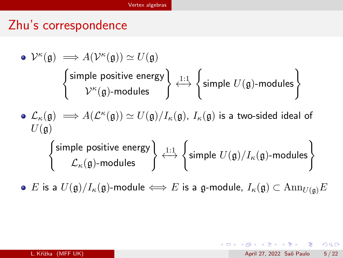# <span id="page-4-0"></span>Zhu's correspondence

\n- \n
$$
\mathcal{V}^{\kappa}(\mathfrak{g}) \Longrightarrow A(\mathcal{V}^{\kappa}(\mathfrak{g})) \simeq U(\mathfrak{g})
$$
\n
\n- \n $\left\{\n \begin{array}{l}\n \text{simple positive energy} \\
 \mathcal{V}^{\kappa}(\mathfrak{g})\text{-modules}\n \end{array}\n \right\}\n \xrightarrow{1:1}\n \left\{\n \text{simple } U(\mathfrak{g})\text{-modules}\n \right\}$ \n
\n- \n $\mathcal{L}_{\kappa}(\mathfrak{g}) \Longrightarrow A(\mathcal{L}^{\kappa}(\mathfrak{g})) \simeq U(\mathfrak{g})/I_{\kappa}(\mathfrak{g}), I_{\kappa}(\mathfrak{g})\n \text{ is a two-sided ideal of}\n \end{array}$ \n
\n- \n $\left\{\n \begin{array}{l}\n \text{simple positive energy} \\
 \mathcal{L}_{\kappa}(\mathfrak{g})\text{-modules}\n \end{array}\n \right\}\n \xrightarrow{1:1}\n \left\{\n \text{simple } U(\mathfrak{g})/I_{\kappa}(\mathfrak{g})\text{-modules}\n \right\}$ \n
\n

**•** E is a  $U(\mathfrak{g})/I_{\kappa}(\mathfrak{g})$ -module  $\Longleftrightarrow$  E is a g-module,  $I_{\kappa}(\mathfrak{g}) \subset \text{Ann}_{U(\mathfrak{g})}E$ 

K ロ ▶ K 個 ▶ K 로 ▶ K 로 ▶ 『로 』 ◇ Q Q @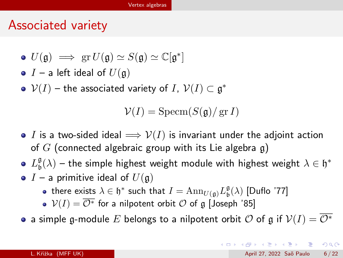### Associated variety

$$
\bullet\ U(\mathfrak{g})\implies \operatorname{gr} U(\mathfrak{g})\simeq S(\mathfrak{g})\simeq \mathbb{C}[\mathfrak{g}^*]
$$

- $\bullet$  I a left ideal of  $U(\mathfrak{g})$
- $\mathcal{V}(I)$  the associated variety of  $I$ ,  $\mathcal{V}(I) \subset \mathfrak{g}^*$

$$
\mathcal{V}(I) = \operatorname{Specm}(S(\mathfrak{g})/\operatorname{gr} I)
$$

- I is a two-sided ideal  $\implies$   $V(I)$  is invariant under the adjoint action of G (connected algebraic group with its Lie algebra  $g$ )
- $L^{\mathfrak{g}}_{\mathfrak{h}}$  $\mathfrak{s}_\mathfrak{b}(\lambda)$  – the simple highest weight module with highest weight  $\lambda\in\mathfrak{h}^*$
- $I$  a primitive ideal of  $U(\mathfrak{g})$ 
	- there exists  $\lambda \in \mathfrak{h}^*$  such that  $I = {\rm Ann}_{U(\mathfrak{g})}L^{\mathfrak{g}}_{\mathfrak{b}}(\lambda)$  [Duflo '77]
	- $V(I) = \overline{\mathcal{O}^*}$  for a nilpotent orbit  $\mathcal O$  of  $\mathfrak g$  [Joseph '85]
- a simple g-module E belongs to a nilpotent orbit O of g if  $V(I) = \overline{O^*}$

**KOD KARD KED KED E VAN**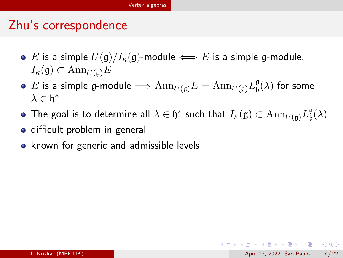# <span id="page-6-0"></span>Zhu's correspondence

- E is a simple  $U(\mathfrak{g})/I_{\kappa}(\mathfrak{g})$ -module  $\iff$  E is a simple g-module,  $I_{\kappa}(\mathfrak{g}) \subset \text{Ann}_{U(\mathfrak{g})}E$
- $E$  is a simple g-module  $\Longrightarrow \mathrm{Ann}_{U(\mathfrak{g})}E=\mathrm{Ann}_{U(\mathfrak{g})}L_{\mathfrak{b}}^{\mathfrak{g}}$  $\frac{\mathfrak{g}}{\mathfrak{b}}(\lambda)$  for some  $λ ∈ *h*<sup>*</sup>$
- The goal is to determine all  $\lambda\in\mathfrak{h}^*$  such that  $I_\kappa(\mathfrak{g})\subset \text{Ann}_{U(\mathfrak{g})}L^{\mathfrak{g}}_\mathfrak{b}$  $\frac{\mathfrak{g}}{\mathfrak{b}}(\lambda)$
- **o** difficult problem in general
- known for generic and admissible levels

 $\Omega$ 

イロン イ部ン イヨン イヨン 一番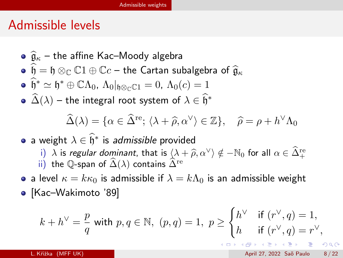# <span id="page-7-0"></span>Admissible levels

• 
$$
\hat{\mathfrak{g}}_{\kappa}
$$
 – the affine Kac–Mody algebra

• 
$$
\widehat{\mathfrak{h}} = \mathfrak{h} \otimes_{\mathbb{C}} \mathbb{C}1 \oplus \mathbb{C}c
$$
 – the Cartan subalgebra of  $\widehat{\mathfrak{g}}_{\kappa}$ 

$$
\bullet \quad \widehat{\mathfrak{h}}^* \simeq \mathfrak{h}^* \oplus \mathbb{C}\Lambda_0, \ \Lambda_0|_{\mathfrak{h} \otimes_{\mathbb{C}} \mathbb{C} 1} = 0, \ \Lambda_0(c) = 1
$$

 $\widehat{\Delta}(\lambda)$  – the integral root system of  $\lambda \in \widehat{\mathfrak{h}}^*$ 

$$
\widehat{\Delta}(\lambda) = \{ \alpha \in \widehat{\Delta}^{\text{re}}; \langle \lambda + \widehat{\rho}, \alpha^{\vee} \rangle \in \mathbb{Z} \}, \quad \widehat{\rho} = \rho + h^{\vee} \Lambda_0
$$

\n- \n
$$
\lambda \in \hat{\mathfrak{h}}^*
$$
 is admissible provided\n
	\n- i)  $\lambda$  is regular dominant, that is  $\langle \lambda + \hat{\rho}, \alpha^{\vee} \rangle \notin -\mathbb{N}_0$  for all  $\alpha \in \hat{\Delta}^{\text{re}}_+$  \n ii) the Q-span of  $\hat{\Delta}(\lambda)$  contains  $\hat{\Delta}^{\text{re}}$ \n
	\n

• a level  $\kappa = k\kappa_0$  is admissible if  $\lambda = k\Lambda_0$  is an admissible weight • [Kac–Wakimoto '89]

$$
k + h^{\vee} = \frac{p}{q} \text{ with } p, q \in \mathbb{N}, \ (p, q) = 1, \ p \ge \begin{cases} h^{\vee} & \text{if } (r^{\vee}, q) = 1, \\ h & \text{if } (r^{\vee}, q) = r^{\vee}, \end{cases}
$$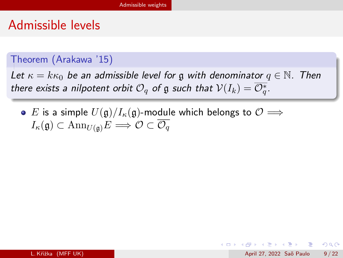# Admissible levels

#### Theorem (Arakawa '15)

Let  $\kappa = k \kappa_0$  be an admissible level for g with denominator  $q \in \mathbb{N}$ . Then there exists a nilpotent orbit  $\mathcal{O}_q$  of  $\mathfrak g$  such that  $\mathcal{V}(I_k)=\overline{\mathcal{O}_q^*}.$ 

**■** E is a simple  $U(\mathfrak{g})/I_{\kappa}(\mathfrak{g})$ -module which belongs to  $\mathcal{O}$   $\Longrightarrow$  $I_{\kappa}(\mathfrak{g}) \subset \text{Ann}_{U(\mathfrak{g})}E \Longrightarrow \mathcal{O} \subset \overline{\mathcal{O}_a}$ 

 $\Omega$ 

 $\mathbf{A} \equiv \mathbf{A} + \mathbf{A} \mathbf{B} + \mathbf{A} \mathbf{B} + \mathbf{A} \mathbf{B} + \mathbf{B} \mathbf{B}$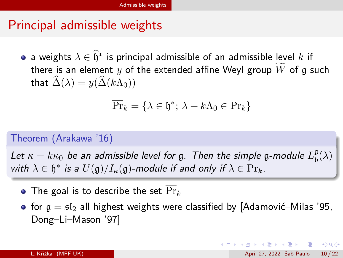# Principal admissible weights

a weights  $\lambda \in \widehat{\mathfrak{h}}^*$  is principal admissible of an admissible level  $k$  if there is an element y of the extended affine Weyl group W of g such that  $\widehat{\Delta}(\lambda) = y(\widehat{\Delta}(k\Lambda_0))$ 

$$
\overline{\Pr}_k = \{ \lambda \in \mathfrak{h}^*; \, \lambda + k\Lambda_0 \in \Pr_k \}
$$

#### Theorem (Arakawa '16)

Let  $\kappa=k\kappa_0$  be an admissible level for  $\mathfrak g$ . Then the simple  $\mathfrak g$ -module  $L^{\mathfrak g}_{\mathfrak b}$  $\frac{\mathfrak{g}}{\mathfrak{b}}(\lambda)$ with  $\lambda\in\mathfrak{h}^*$  is a  $U(\mathfrak{g})/I_\kappa(\mathfrak{g})$ -module if and only if  $\lambda\in\overline{\mathrm{Pr}}_k.$ 

- The goal is to describe the set  $\overline{\Pr}_k$
- for  $g = gI_2$  all highest weights were classified by [Adamović–Milas '95, Dong–Li–Mason '97]

**KOD KARD KED KED E VAN**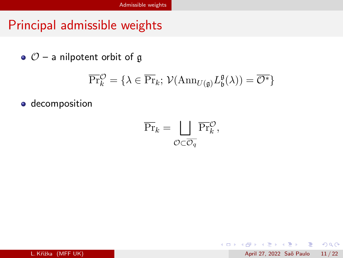# <span id="page-10-0"></span>Principal admissible weights

 $\circ$   $\circ$  – a nilpotent orbit of g

$$
\overline{\Pr}_{k}^{\mathcal{O}} = \{ \lambda \in \overline{\Pr}_{k}; \ \mathcal{V}(\mathrm{Ann}_{U(\mathfrak{g})} L_{\mathfrak{b}}^{\mathfrak{g}}(\lambda)) = \overline{\mathcal{O}^*} \}
$$

**o** decomposition

$$
\overline{\Pr}_k = \bigsqcup_{\mathcal{O} \subset \overline{\mathcal{O}_q}} \overline{\Pr}_k^{\mathcal{O}},
$$

 $\mathcal{A} \cong \mathcal{B} \times \mathcal{A} \cong \mathcal{B}$ 

**← ロ → → ← 何 →** 

 $OQ$ 

- 로

L. Křižka (MFF UK) April 27, 2022 Saõ Paulo 11 / 22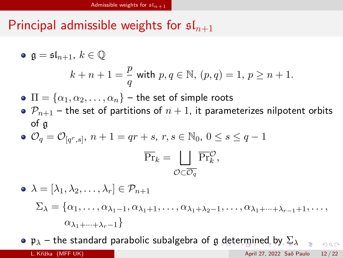# <span id="page-11-0"></span>Principal admissible weights for  $\mathfrak{sl}_{n+1}$

• 
$$
\mathfrak{g} = \mathfrak{sl}_{n+1}, k \in \mathbb{Q}
$$
  

$$
k + n + 1 = \frac{p}{q} \text{ with } p, q \in \mathbb{N}, (p, q) = 1, p \ge n + 1.
$$

 $\Psi \Pi = {\alpha_1, \alpha_2, \ldots, \alpha_n}$  – the set of simple roots

 $\bullet$   $\mathcal{P}_{n+1}$  – the set of partitions of  $n+1$ , it parameterizes nilpotent orbits of g

• 
$$
\mathcal{O}_q = \mathcal{O}_{[q^r,s]}, n+1 = qr + s, r, s \in \mathbb{N}_0, 0 \le s \le q-1
$$
  

$$
\overline{\Pr}_k = \bigsqcup_{\mathcal{O} \subset \overline{\mathcal{O}_q}} \overline{\Pr}_k^{\mathcal{O}},
$$

$$
\begin{aligned}\n\bullet \ \lambda &= [\lambda_1, \lambda_2, \dots, \lambda_r] \in \mathcal{P}_{n+1} \\
\Sigma_\lambda &= \{ \alpha_1, \dots, \alpha_{\lambda_1 - 1}, \alpha_{\lambda_1 + 1}, \dots, \alpha_{\lambda_1 + \lambda_2 - 1}, \dots, \alpha_{\lambda_1 + \dots + \lambda_{r-1} + 1}, \dots, \\
\alpha_{\lambda_1 + \dots + \lambda_r - 1} \}\n\end{aligned}
$$

 $\bullet$  $\bullet$  $\bullet$  p<sub>λ</sub> – the stan[d](#page-7-0)ard parabolic subalgebra of g d[ete](#page-12-0)[r](#page-10-0)[mi](#page-11-0)[n](#page-12-0)ed[b](#page-14-0)[y](#page-6-0)  $\Sigma_{\lambda}$  $QQQ$ L. Křižka (MFF UK) April 27, 2022 Sa˜o Paulo 12 / 22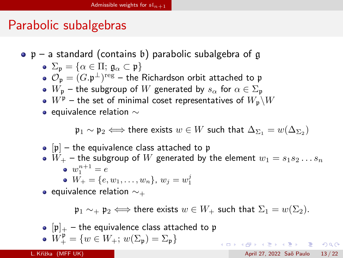# <span id="page-12-0"></span>Parabolic subalgebras

 $\bullet$  p – a standard (contains b) parabolic subalgebra of g

• 
$$
\Sigma_p = {\alpha \in \Pi; \mathfrak{g}_{\alpha} \subset p}
$$
  
•  $\mathcal{O} = (C_n \bot) \text{reg}$  the Bichardson orbit att

- $\mathcal{O}_{\mathfrak{p}} = (G.\mathfrak{p}^{\perp})^{\rm reg}$  the Richardson orbit attached to  $\mathfrak{p}$
- $W_p$  the subgroup of W generated by  $s_\alpha$  for  $\alpha \in \Sigma_p$
- $\bullet$   $W^{\mathfrak{p}}$  the set of minimal coset representatives of  $W_{\mathfrak{p}}\backslash W$
- equivalence relation  $∼$

 $\mathfrak{p}_1 \sim \mathfrak{p}_2 \Longleftrightarrow$  there exists  $w \in W$  such that  $\Delta_{\Sigma_1} = w(\Delta_{\Sigma_2})$ 

\n- [p] – the equivalence class attached to 
$$
\mathfrak{p}
$$
\n- $W_+$  – the subgroup of  $W$  generated by the element  $w_1 = s_1 s_2 \dots s_n$
\n- $w_1^{n+1} = e$
\n- $W_+ = \{e, w_1, \ldots, w_n\}, w_j = w_1^j$
\n

• equivalence relation  $\sim_{+}$ 

 $\mathfrak{p}_1 \sim_{+} \mathfrak{p}_2 \Longleftrightarrow$  there exists  $w \in W_+$  such that  $\Sigma_1 = w(\Sigma_2)$ .

**KOD KARD KED KED E VAN** 

$$
\begin{array}{ll} \bullet & [\mathfrak{p}]_+ - \mathsf{the \hspace{1mm} equivalence \hspace{1mm} class \hspace{1mm} attached \hspace{1mm} to \hspace{1mm} \mathfrak{p} \\ \bullet & W^{\mathfrak{p}}_+ = \{ w \in W_+;\hspace{1mm} w(\Sigma_{\mathfrak{p}}) = \Sigma_{\mathfrak{p}} \} \end{array}
$$

L. Křižka (MFF UK) April 27, 2022 Sa˜o Paulo 13 / 22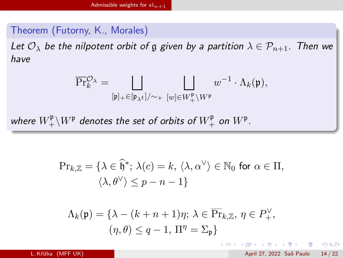#### <span id="page-13-0"></span>Theorem (Futorny, K., Morales)

Let  $\mathcal{O}_{\lambda}$  be the nilpotent orbit of g given by a partition  $\lambda \in \mathcal{P}_{n+1}$ . Then we have

$$
\overline{\Pr}^{\mathcal{O}}_k{}^\lambda = \bigsqcup_{[\mathfrak{p}]_+ \in [\mathfrak{p}_{\lambda^t}]/{\sim_+}} \bigsqcup_{[w] \in W^{\mathfrak{p}}_+ \backslash W^{\mathfrak{p}}} w^{-1} \cdot \Lambda_k(\mathfrak{p}),
$$

where  $W^\mathfrak{p}_+\backslash W^\mathfrak{p}$  denotes the set of orbits of  $W^\mathfrak{p}_+$  on  $W^\mathfrak{p}.$ 

$$
\Pr_{k,\mathbb{Z}} = \{ \lambda \in \widehat{\mathfrak{h}}^*; \ \lambda(c) = k, \ \langle \lambda, \alpha^\vee \rangle \in \mathbb{N}_0 \text{ for } \alpha \in \Pi, \\ \langle \lambda, \theta^\vee \rangle \le p - n - 1 \}
$$

$$
\Lambda_k(\mathfrak{p}) = \{ \lambda - (k + n + 1)\eta; \ \lambda \in \overline{\Pr}_{k,\mathbb{Z}}, \ \eta \in P_+^{\vee}, (\eta, \theta) \le q - 1, \ \Pi^{\eta} = \Sigma_{\mathfrak{p}} \}
$$

K ロ ▶ K 個 ▶ K 로 ▶ K 로 ▶ 『로 』 ◇ Q Q @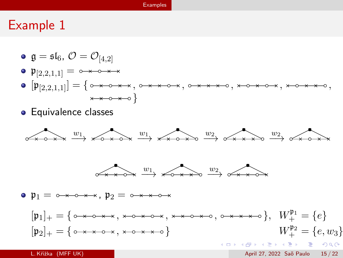#### [Examples](#page-14-0)

#### <span id="page-14-0"></span>Example 1

- $\bullet$   $\mathfrak{g} = \mathfrak{sl}_6$ ,  $\mathcal{O} = \mathcal{O}_{[4.2]}$
- $\mathfrak{p}_{[2,2,1,1]} = 0 \times 0 \times 0 \times 0$
- [p[2,2,1,1]] = { , , , , ,  $x \rightarrow 0$   $x \rightarrow 0$
- **•** Equivalence classes



L. Křižka (MFF UK) April 27, 2022 Saõ Paulo 15 / 22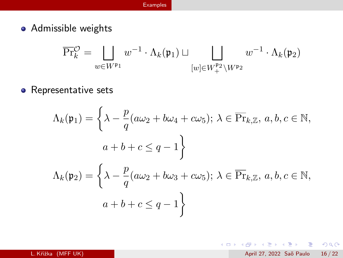• Admissible weights

$$
\overline{\Pr}_{k}^{\mathcal{O}} = \bigsqcup_{w \in W^{\mathfrak{p}_{1}}} w^{-1} \cdot \Lambda_{k}(\mathfrak{p}_{1}) \sqcup \bigsqcup_{[w] \in W_{+}^{\mathfrak{p}_{2}} \setminus W^{\mathfrak{p}_{2}}} w^{-1} \cdot \Lambda_{k}(\mathfrak{p}_{2})
$$

• Representative sets

$$
\Lambda_k(\mathfrak{p}_1) = \left\{ \lambda - \frac{p}{q} (a\omega_2 + b\omega_4 + c\omega_5); \lambda \in \overline{\Pr}_{k,\mathbb{Z}}, a, b, c \in \mathbb{N},
$$

$$
a + b + c \le q - 1 \right\}
$$

$$
\Lambda_k(\mathfrak{p}_2) = \left\{ \lambda - \frac{p}{q} (a\omega_2 + b\omega_3 + c\omega_5); \lambda \in \overline{\Pr}_{k,\mathbb{Z}}, a, b, c \in \mathbb{N},
$$

$$
a + b + c \le q - 1 \right\}
$$

一番

 $2990$ 

イロト イ部 トイヨ トイヨト

L. Křižka (MFF UK) April 27, 2022 Saõ Paulo 16 / 22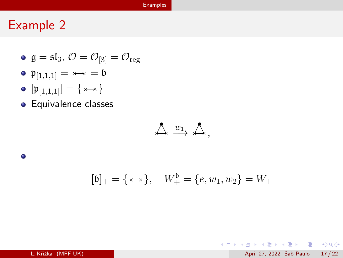#### [Examples](#page-14-0)

## Example 2

 $\bullet$ 

- $\bullet$  g =  $\mathfrak{sl}_3$ ,  $\mathcal{O} = \mathcal{O}_{[3]} = \mathcal{O}_{\text{reg}}$
- $\mathfrak{p}_{[1,1,1]} = \cdots = \mathfrak{b}$
- $[p_{[1,1,1]}] = {\{\star \to \}}$
- **•** Equivalence classes

$$
\bigtriangleup\stackrel{w_1}{\longrightarrow}\bigtriangleup,
$$

$$
[\mathfrak{b}]_+ = \{ \star \star \}, \quad W_+^{\mathfrak{b}} = \{ e, w_1, w_2 \} = W_+
$$

K ロ ▶ K 個 ▶ K 로 ▶ K 로 ▶ - 로 - K 9 Q @

L. Křižka (MFF UK) April 27, 2022 Saõ Paulo 17 / 22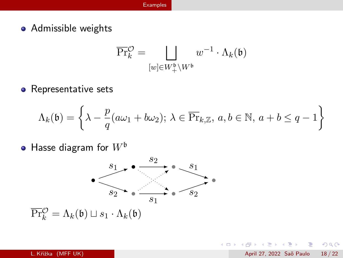• Admissible weights

$$
\overline{\Pr}^{\mathcal{O}}_k = \bigsqcup_{[w] \in W^{\mathfrak{b}}_+ \backslash W^{\mathfrak{b}}} w^{-1} \cdot \Lambda_k(\mathfrak{b})
$$

• Representative sets

$$
\Lambda_k(\mathfrak{b}) = \left\{ \lambda - \frac{p}{q} (a\omega_1 + b\omega_2); \ \lambda \in \overline{\Pr}_{k,\mathbb{Z}}, \ a, b \in \mathbb{N}, \ a + b \leq q - 1 \right\}
$$

• Hasse diagram for  $W^{\mathfrak{b}}$ 



 $\overline{\Pr}_{k}^{\mathcal{O}} = \Lambda_{k}(\mathfrak{b}) \sqcup s_{1} \cdot \Lambda_{k}(\mathfrak{b})$ 

 $\,$ 

÷

4 D F

 $QQQ$ 

画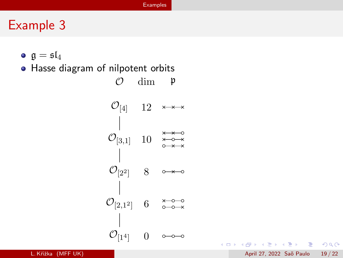# Example 3

- $\bullet$   $\mathfrak{a} = \mathfrak{sl}_4$
- Hasse diagram of nilpotent orbits

 $\mathcal{O}_{[1^4]}$  $\mathcal{O}_{[2,1^2]}$  6  $\mathcal{O}_{[2^2]}$  8  $\mathcal{O}_{[3,1]}$  10  $\mathcal{O}_{[4]}$  12 0  $\mathcal{O}$  dim  $\mathfrak{p}$ 

K ロ ▶ K 個 ▶ K 로 ▶ K 로 ▶ 『로 』 ◇ Q Q @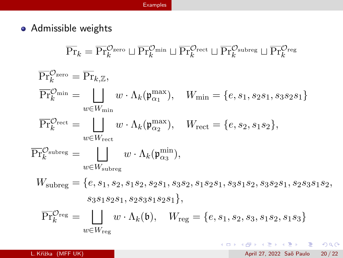#### [Examples](#page-14-0)

• Admissible weights

$$
\overline{\Pr}_{k} = \overline{\Pr}_{k}^{\mathcal{O}_{zero}} \sqcup \overline{\Pr}_{k}^{\mathcal{O}_{\text{min}}} \sqcup \overline{\Pr}_{k}^{\mathcal{O}_{\text{red}}} \sqcup \overline{\Pr}_{k}^{\mathcal{O}_{\text{subreg}}} \sqcup \overline{\Pr}_{k}^{\mathcal{O}_{reg}}
$$
\n
$$
\overline{\Pr}_{k}^{\mathcal{O}_{zero}} = \overline{\Pr}_{k,\mathbb{Z}},
$$
\n
$$
\overline{\Pr}_{k}^{\mathcal{O}_{\text{min}}} = \bigsqcup_{w \in W_{\text{min}}} w \cdot \Lambda_{k}(\mathfrak{p}_{\alpha_{1}}^{\max}), \quad W_{\text{min}} = \{e, s_{1}, s_{2}s_{1}, s_{3}s_{2}s_{1}\}
$$
\n
$$
\overline{\Pr}_{k}^{\mathcal{O}_{rect}} = \bigsqcup_{w \in W_{\text{rect}}} w \cdot \Lambda_{k}(\mathfrak{p}_{\alpha_{2}}^{\max}), \quad W_{\text{rect}} = \{e, s_{2}, s_{1}s_{2}\},
$$
\n
$$
\overline{\Pr}_{k}^{\mathcal{O}_{\text{subreg}}} = \bigsqcup_{w \in W_{\text{subreg}}} w \cdot \Lambda_{k}(\mathfrak{p}_{\alpha_{3}}^{\min}),
$$
\n
$$
W_{\text{subreg}} = \{e, s_{1}, s_{2}, s_{1}s_{2}, s_{2}s_{1}, s_{3}s_{2}, s_{1}s_{2}s_{1}, s_{3}s_{1}s_{2}, s_{3}s_{2}s_{1}, s_{2}s_{3}s_{1}s_{2}, s_{3}s_{1}s_{2}s_{1}, s_{2}s_{3}s_{1}s_{2}s_{1}\},
$$
\n
$$
\overline{\Pr}_{k}^{\mathcal{O}_{reg}} = \bigsqcup_{w \in W_{reg}} w \cdot \Lambda_{k}(\mathfrak{b}), \quad W_{reg} = \{e, s_{1}, s_{2}, s_{3}, s_{1}s_{2}, s_{1}s_{3}\}
$$

- 198

 $2990$ 

メロメ メ都 メメ きょくきょ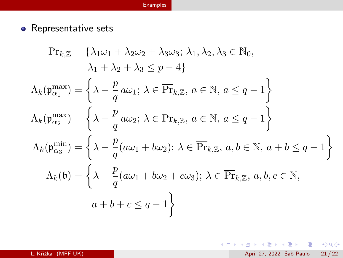#### [Examples](#page-14-0)

• Representative sets

$$
\overline{\Pr}_{k,\mathbb{Z}} = \{\lambda_1 \omega_1 + \lambda_2 \omega_2 + \lambda_3 \omega_3; \ \lambda_1, \lambda_2, \lambda_3 \in \mathbb{N}_0, \lambda_1 + \lambda_2 + \lambda_3 \le p - 4\}
$$
\n
$$
\Lambda_k(\mathfrak{p}_{\alpha_1}^{\max}) = \left\{\lambda - \frac{p}{q} a \omega_1; \ \lambda \in \overline{\Pr}_{k,\mathbb{Z}}, \ a \in \mathbb{N}, \ a \le q - 1\right\}
$$
\n
$$
\Lambda_k(\mathfrak{p}_{\alpha_2}^{\max}) = \left\{\lambda - \frac{p}{q} a \omega_2; \ \lambda \in \overline{\Pr}_{k,\mathbb{Z}}, \ a \in \mathbb{N}, \ a \le q - 1\right\}
$$
\n
$$
\Lambda_k(\mathfrak{p}_{\alpha_3}^{\min}) = \left\{\lambda - \frac{p}{q} (a \omega_1 + b \omega_2); \ \lambda \in \overline{\Pr}_{k,\mathbb{Z}}, \ a, b \in \mathbb{N}, \ a + b \le q - 1\right\}
$$
\n
$$
\Lambda_k(\mathfrak{b}) = \left\{\lambda - \frac{p}{q} (a \omega_1 + b \omega_2 + c \omega_3); \ \lambda \in \overline{\Pr}_{k,\mathbb{Z}}, \ a, b, c \in \mathbb{N}, \ a + b + c \le q - 1\right\}
$$

K ロ ▶ K @ ▶ K 할 ▶ K 할 ▶ ① 할 → ① 의 ①